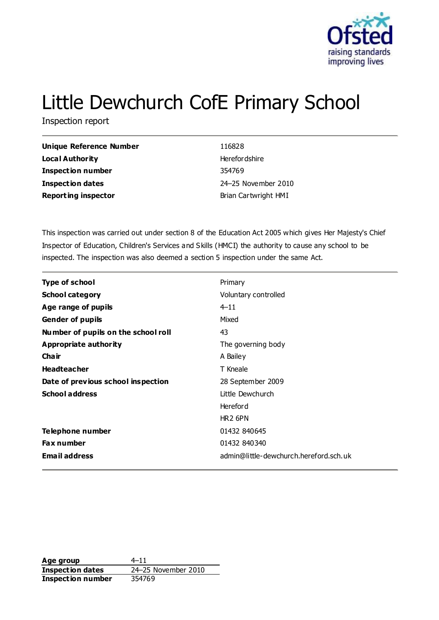

# Little Dewchurch CofE Primary School

Inspection report

| <b>Unique Reference Number</b> | 116828               |
|--------------------------------|----------------------|
| Local Authority                | Herefor dshire       |
| <b>Inspection number</b>       | 354769               |
| Inspection dates               | 24–25 November 2010  |
| <b>Reporting inspector</b>     | Brian Cartwright HMI |

This inspection was carried out under section 8 of the Education Act 2005 which gives Her Majesty's Chief Inspector of Education, Children's Services and Skills (HMCI) the authority to cause any school to be inspected. The inspection was also deemed a section 5 inspection under the same Act.

| <b>Type of school</b>               | Primary                                |
|-------------------------------------|----------------------------------------|
| <b>School category</b>              | Voluntary controlled                   |
| Age range of pupils                 | $4 - 11$                               |
| <b>Gender of pupils</b>             | Mixed                                  |
| Number of pupils on the school roll | 43                                     |
| Appropriate authority               | The governing body                     |
| Cha ir                              | A Bailey                               |
| <b>Headteacher</b>                  | T Kneale                               |
| Date of previous school inspection  | 28 September 2009                      |
| <b>School address</b>               | Little Dewchurch                       |
|                                     | <b>Hereford</b>                        |
|                                     | HR <sub>2</sub> 6PN                    |
| Telephone number                    | 01432 840645                           |
| <b>Fax number</b>                   | 01432 840340                           |
| <b>Email address</b>                | admin@little-dewchurch.hereford.sch.uk |

**Age group** 4–11 **Inspection dates** 24–25 November 2010 **Inspection number** 354769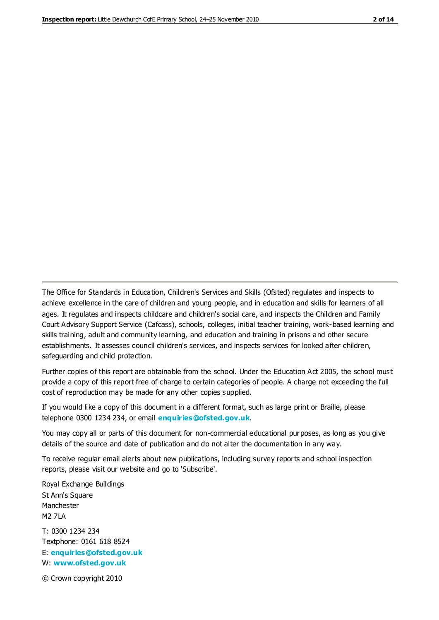The Office for Standards in Education, Children's Services and Skills (Ofsted) regulates and inspects to achieve excellence in the care of children and young people, and in education and skills for learners of all ages. It regulates and inspects childcare and children's social care, and inspects the Children and Family Court Advisory Support Service (Cafcass), schools, colleges, initial teacher training, work-based learning and skills training, adult and community learning, and education and training in prisons and other secure establishments. It assesses council children's services, and inspects services for looked after children, safeguarding and child protection.

Further copies of this report are obtainable from the school. Under the Education Act 2005, the school must provide a copy of this report free of charge to certain categories of people. A charge not exceeding the full cost of reproduction may be made for any other copies supplied.

If you would like a copy of this document in a different format, such as large print or Braille, please telephone 0300 1234 234, or email **[enquiries@ofsted.gov.uk](mailto:enquiries@ofsted.gov.uk)**.

You may copy all or parts of this document for non-commercial educational purposes, as long as you give details of the source and date of publication and do not alter the documentation in any way.

To receive regular email alerts about new publications, including survey reports and school inspection reports, please visit our website and go to 'Subscribe'.

Royal Exchange Buildings St Ann's Square Manchester M2 7LA T: 0300 1234 234 Textphone: 0161 618 8524 E: **[enquiries@ofsted.gov.uk](mailto:enquiries@ofsted.gov.uk)**

W: **[www.ofsted.gov.uk](http://www.ofsted.gov.uk/)**

© Crown copyright 2010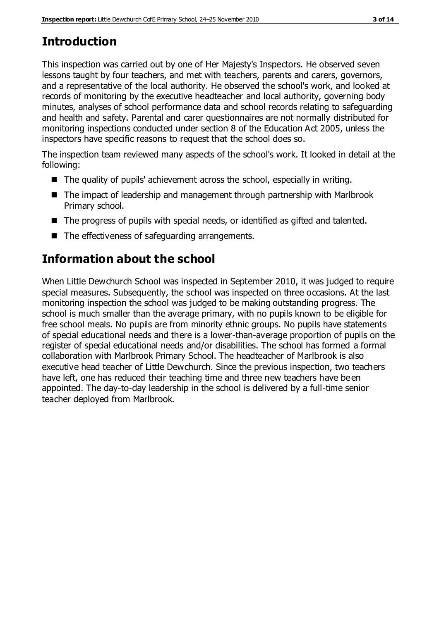# **Introduction**

This inspection was carried out by one of Her Majesty's Inspectors. He observed seven lessons taught by four teachers, and met with teachers, parents and carers, governors, and a representative of the local authority. He observed the school's work, and looked at records of monitoring by the executive headteacher and local authority, governing body minutes, analyses of school performance data and school records relating to safeguarding and health and safety. Parental and carer questionnaires are not normally distributed for monitoring inspections conducted under section 8 of the Education Act 2005, unless the inspectors have specific reasons to request that the school does so.

The inspection team reviewed many aspects of the school's work. It looked in detail at the following:

- The quality of pupils' achievement across the school, especially in writing.
- The impact of leadership and management through partnership with Marlbrook Primary school.
- The progress of pupils with special needs, or identified as gifted and talented.
- The effectiveness of safeguarding arrangements.

## **Information about the school**

When Little Dewchurch School was inspected in September 2010, it was judged to require special measures. Subsequently, the school was inspected on three occasions. At the last monitoring inspection the school was judged to be making outstanding progress. The school is much smaller than the average primary, with no pupils known to be eligible for free school meals. No pupils are from minority ethnic groups. No pupils have statements of special educational needs and there is a lower-than-average proportion of pupils on the register of special educational needs and/or disabilities. The school has formed a formal collaboration with Marlbrook Primary School. The headteacher of Marlbrook is also executive head teacher of Little Dewchurch. Since the previous inspection, two teachers have left, one has reduced their teaching time and three new teachers have been appointed. The day-to-day leadership in the school is delivered by a full-time senior teacher deployed from Marlbrook.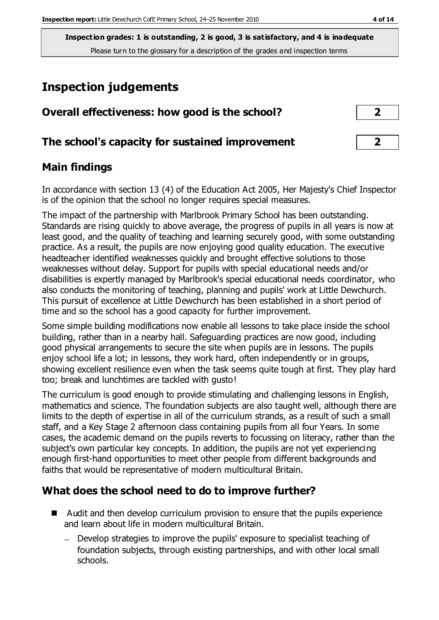## **Inspection judgements**

| Overall effectiveness: how good is the school?  | $\mathbf{2}$            |  |
|-------------------------------------------------|-------------------------|--|
| The school's capacity for sustained improvement | $\overline{\mathbf{2}}$ |  |

## **Main findings**

In accordance with section 13 (4) of the Education Act 2005, Her Majesty's Chief Inspector is of the opinion that the school no longer requires special measures.

The impact of the partnership with Marlbrook Primary School has been outstanding. Standards are rising quickly to above average, the progress of pupils in all years is now at least good, and the quality of teaching and learning securely good, with some outstanding practice. As a result, the pupils are now enjoying good quality education. The executive headteacher identified weaknesses quickly and brought effective solutions to those weaknesses without delay. Support for pupils with special educational needs and/or disabilities is expertly managed by Marlbrook's special educational needs coordinator, who also conducts the monitoring of teaching, planning and pupils' work at Little Dewchurch. This pursuit of excellence at Little Dewchurch has been established in a short period of time and so the school has a good capacity for further improvement.

Some simple building modifications now enable all lessons to take place inside the school building, rather than in a nearby hall. Safeguarding practices are now good, including good physical arrangements to secure the site when pupils are in lessons. The pupils enjoy school life a lot; in lessons, they work hard, often independently or in groups, showing excellent resilience even when the task seems quite tough at first. They play hard too; break and lunchtimes are tackled with gusto!

The curriculum is good enough to provide stimulating and challenging lessons in English, mathematics and science. The foundation subjects are also taught well, although there are limits to the depth of expertise in all of the curriculum strands, as a result of such a small staff, and a Key Stage 2 afternoon class containing pupils from all four Years. In some cases, the academic demand on the pupils reverts to focussing on literacy, rather than the subject's own particular key concepts. In addition, the pupils are not yet experiencing enough first-hand opportunities to meet other people from different backgrounds and faiths that would be representative of modern multicultural Britain.

## **What does the school need to do to improve further?**

- Audit and then develop curriculum provision to ensure that the pupils experience and learn about life in modern multicultural Britain.
	- Develop strategies to improve the pupils' exposure to specialist teaching of foundation subjects, through existing partnerships, and with other local small schools.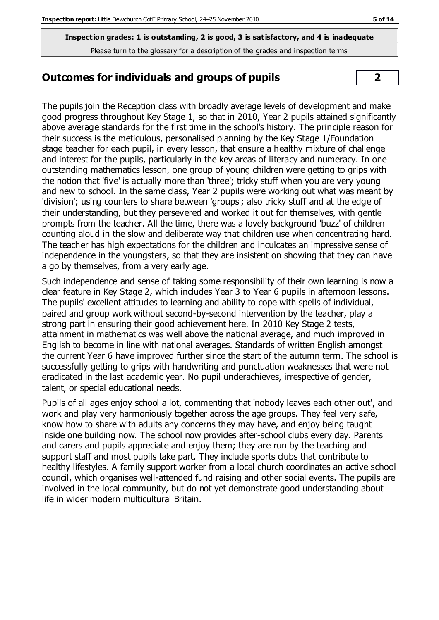#### **Outcomes for individuals and groups of pupils 2**

The pupils join the Reception class with broadly average levels of development and make good progress throughout Key Stage 1, so that in 2010, Year 2 pupils attained significantly above average standards for the first time in the school's history. The principle reason for their success is the meticulous, personalised planning by the Key Stage 1/Foundation stage teacher for each pupil, in every lesson, that ensure a healthy mixture of challenge and interest for the pupils, particularly in the key areas of literacy and numeracy. In one outstanding mathematics lesson, one group of young children were getting to grips with the notion that 'five' is actually more than 'three'; tricky stuff when you are very young and new to school. In the same class, Year 2 pupils were working out what was meant by 'division'; using counters to share between 'groups'; also tricky stuff and at the edge of their understanding, but they persevered and worked it out for themselves, with gentle prompts from the teacher. All the time, there was a lovely background 'buzz' of children counting aloud in the slow and deliberate way that children use when concentrating hard. The teacher has high expectations for the children and inculcates an impressive sense of independence in the youngsters, so that they are insistent on showing that they can have a go by themselves, from a very early age.

Such independence and sense of taking some responsibility of their own learning is now a clear feature in Key Stage 2, which includes Year 3 to Year 6 pupils in afternoon lessons. The pupils' excellent attitudes to learning and ability to cope with spells of individual, paired and group work without second-by-second intervention by the teacher, play a strong part in ensuring their good achievement here. In 2010 Key Stage 2 tests, attainment in mathematics was well above the national average, and much improved in English to become in line with national averages. Standards of written English amongst the current Year 6 have improved further since the start of the autumn term. The school is successfully getting to grips with handwriting and punctuation weaknesses that were not eradicated in the last academic year. No pupil underachieves, irrespective of gender, talent, or special educational needs.

Pupils of all ages enjoy school a lot, commenting that 'nobody leaves each other out', and work and play very harmoniously together across the age groups. They feel very safe, know how to share with adults any concerns they may have, and enjoy being taught inside one building now. The school now provides after-school clubs every day. Parents and carers and pupils appreciate and enjoy them; they are run by the teaching and support staff and most pupils take part. They include sports clubs that contribute to healthy lifestyles. A family support worker from a local church coordinates an active school council, which organises well-attended fund raising and other social events. The pupils are involved in the local community, but do not yet demonstrate good understanding about life in wider modern multicultural Britain.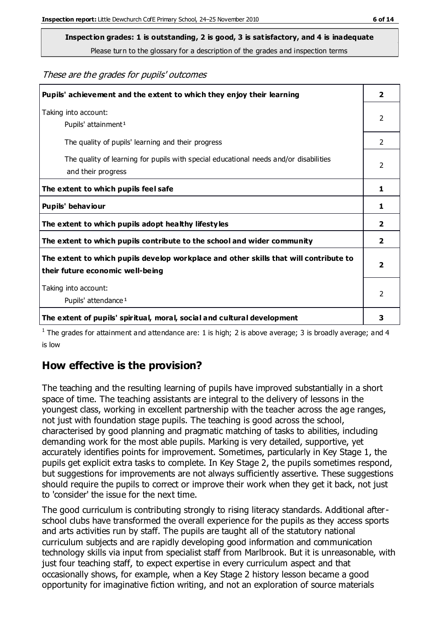**Inspection grades: 1 is outstanding, 2 is good, 3 is satisfactory, and 4 is inadequate**

Please turn to the glossary for a description of the grades and inspection terms

These are the grades for pupils' outcomes

| Pupils' achievement and the extent to which they enjoy their learning                                                     | $\overline{2}$ |
|---------------------------------------------------------------------------------------------------------------------------|----------------|
| Taking into account:<br>Pupils' attainment <sup>1</sup>                                                                   | 2              |
| The quality of pupils' learning and their progress                                                                        | $\mathcal{P}$  |
| The quality of learning for pupils with special educational needs and/or disabilities<br>and their progress               | $\mathcal{P}$  |
| The extent to which pupils feel safe                                                                                      | 1              |
| Pupils' behaviour                                                                                                         | 1              |
| The extent to which pupils adopt healthy lifestyles                                                                       | $\overline{2}$ |
| The extent to which pupils contribute to the school and wider community                                                   | $\overline{2}$ |
| The extent to which pupils develop workplace and other skills that will contribute to<br>their future economic well-being | $\overline{2}$ |
| Taking into account:<br>Pupils' attendance <sup>1</sup>                                                                   | $\mathcal{P}$  |
| The extent of pupils' spiritual, moral, social and cultural development                                                   | 3              |

<sup>1</sup> The grades for attainment and attendance are: 1 is high; 2 is above average; 3 is broadly average; and 4 is low

## **How effective is the provision?**

The teaching and the resulting learning of pupils have improved substantially in a short space of time. The teaching assistants are integral to the delivery of lessons in the youngest class, working in excellent partnership with the teacher across the age ranges, not just with foundation stage pupils. The teaching is good across the school, characterised by good planning and pragmatic matching of tasks to abilities, including demanding work for the most able pupils. Marking is very detailed, supportive, yet accurately identifies points for improvement. Sometimes, particularly in Key Stage 1, the pupils get explicit extra tasks to complete. In Key Stage 2, the pupils sometimes respond, but suggestions for improvements are not always sufficiently assertive. These suggestions should require the pupils to correct or improve their work when they get it back, not just to 'consider' the issue for the next time.

The good curriculum is contributing strongly to rising literacy standards. Additional afterschool clubs have transformed the overall experience for the pupils as they access sports and arts activities run by staff. The pupils are taught all of the statutory national curriculum subjects and are rapidly developing good information and communication technology skills via input from specialist staff from Marlbrook. But it is unreasonable, with just four teaching staff, to expect expertise in every curriculum aspect and that occasionally shows, for example, when a Key Stage 2 history lesson became a good opportunity for imaginative fiction writing, and not an exploration of source materials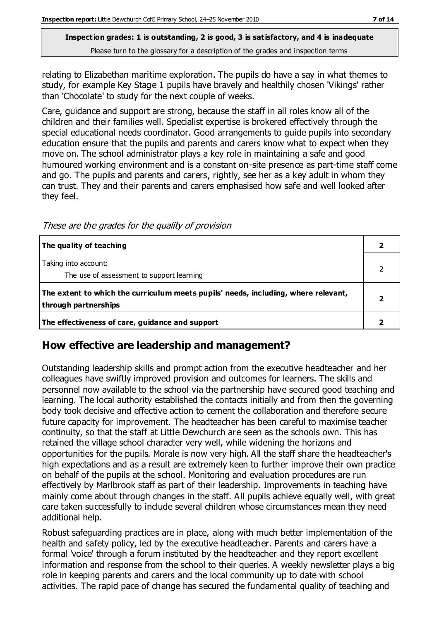relating to Elizabethan maritime exploration. The pupils do have a say in what themes to study, for example Key Stage 1 pupils have bravely and healthily chosen 'Vikings' rather than 'Chocolate' to study for the next couple of weeks.

Care, guidance and support are strong, because the staff in all roles know all of the children and their families well. Specialist expertise is brokered effectively through the special educational needs coordinator. Good arrangements to guide pupils into secondary education ensure that the pupils and parents and carers know what to expect when they move on. The school administrator plays a key role in maintaining a safe and good humoured working environment and is a constant on-site presence as part-time staff come and go. The pupils and parents and carers, rightly, see her as a key adult in whom they can trust. They and their parents and carers emphasised how safe and well looked after they feel.

These are the grades for the quality of provision

| The quality of teaching                                                                                    |  |
|------------------------------------------------------------------------------------------------------------|--|
| Taking into account:<br>The use of assessment to support learning                                          |  |
| The extent to which the curriculum meets pupils' needs, including, where relevant,<br>through partnerships |  |
| The effectiveness of care, guidance and support                                                            |  |

#### **How effective are leadership and management?**

Outstanding leadership skills and prompt action from the executive headteacher and her colleagues have swiftly improved provision and outcomes for learners. The skills and personnel now available to the school via the partnership have secured good teaching and learning. The local authority established the contacts initially and from then the governing body took decisive and effective action to cement the collaboration and therefore secure future capacity for improvement. The headteacher has been careful to maximise teacher continuity, so that the staff at Little Dewchurch are seen as the schools own. This has retained the village school character very well, while widening the horizons and opportunities for the pupils. Morale is now very high. All the staff share the headteacher's high expectations and as a result are extremely keen to further improve their own practice on behalf of the pupils at the school. Monitoring and evaluation procedures are run effectively by Marlbrook staff as part of their leadership. Improvements in teaching have mainly come about through changes in the staff. All pupils achieve equally well, with great care taken successfully to include several children whose circumstances mean they need additional help.

Robust safeguarding practices are in place, along with much better implementation of the health and safety policy, led by the executive headteacher. Parents and carers have a formal 'voice' through a forum instituted by the headteacher and they report excellent information and response from the school to their queries. A weekly newsletter plays a big role in keeping parents and carers and the local community up to date with school activities. The rapid pace of change has secured the fundamental quality of teaching and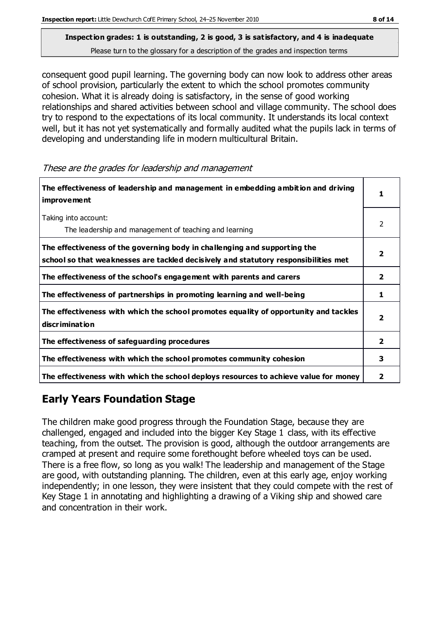consequent good pupil learning. The governing body can now look to address other areas of school provision, particularly the extent to which the school promotes community cohesion. What it is already doing is satisfactory, in the sense of good working relationships and shared activities between school and village community. The school does try to respond to the expectations of its local community. It understands its local context well, but it has not yet systematically and formally audited what the pupils lack in terms of developing and understanding life in modern multicultural Britain.

These are the grades for leadership and management

| The effectiveness of leadership and management in embedding ambition and driving<br><i>improvement</i>                                                           |                         |
|------------------------------------------------------------------------------------------------------------------------------------------------------------------|-------------------------|
| Taking into account:<br>The leadership and management of teaching and learning                                                                                   | 2                       |
| The effectiveness of the governing body in challenging and supporting the<br>school so that weaknesses are tackled decisively and statutory responsibilities met |                         |
| The effectiveness of the school's engagement with parents and carers                                                                                             | 2                       |
| The effectiveness of partnerships in promoting learning and well-being                                                                                           | 1                       |
| The effectiveness with which the school promotes equality of opportunity and tackles<br><b>discrimination</b>                                                    | $\overline{\mathbf{2}}$ |
| The effectiveness of safeguarding procedures                                                                                                                     | 2                       |
| The effectiveness with which the school promotes community cohesion                                                                                              | 3                       |
| The effectiveness with which the school deploys resources to achieve value for money                                                                             | 2                       |

## **Early Years Foundation Stage**

The children make good progress through the Foundation Stage, because they are challenged, engaged and included into the bigger Key Stage 1 class, with its effective teaching, from the outset. The provision is good, although the outdoor arrangements are cramped at present and require some forethought before wheeled toys can be used. There is a free flow, so long as you walk! The leadership and management of the Stage are good, with outstanding planning. The children, even at this early age, enjoy working independently; in one lesson, they were insistent that they could compete with the rest of Key Stage 1 in annotating and highlighting a drawing of a Viking ship and showed care and concentration in their work.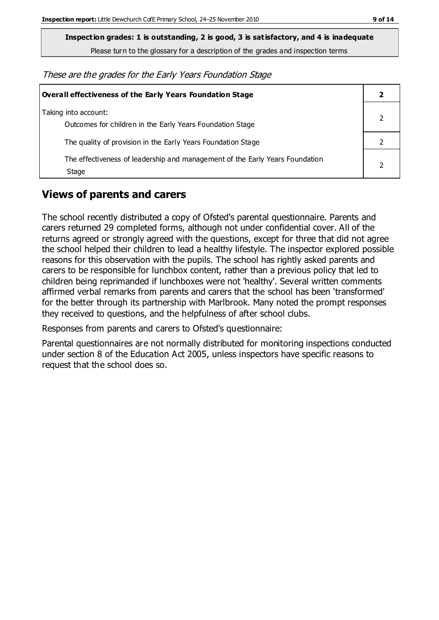**Inspection grades: 1 is outstanding, 2 is good, 3 is satisfactory, and 4 is inadequate**

Please turn to the glossary for a description of the grades and inspection terms

These are the grades for the Early Years Foundation Stage

| <b>Overall effectiveness of the Early Years Foundation Stage</b>                      |  |
|---------------------------------------------------------------------------------------|--|
| Taking into account:<br>Outcomes for children in the Early Years Foundation Stage     |  |
| The quality of provision in the Early Years Foundation Stage                          |  |
| The effectiveness of leadership and management of the Early Years Foundation<br>Stage |  |

#### **Views of parents and carers**

The school recently distributed a copy of Ofsted's parental questionnaire. Parents and carers returned 29 completed forms, although not under confidential cover. All of the returns agreed or strongly agreed with the questions, except for three that did not agree the school helped their children to lead a healthy lifestyle. The inspector explored possible reasons for this observation with the pupils. The school has rightly asked parents and carers to be responsible for lunchbox content, rather than a previous policy that led to children being reprimanded if lunchboxes were not 'healthy'. Several written comments affirmed verbal remarks from parents and carers that the school has been 'transformed' for the better through its partnership with Marlbrook. Many noted the prompt responses they received to questions, and the helpfulness of after school clubs.

Responses from parents and carers to Ofsted's questionnaire:

Parental questionnaires are not normally distributed for monitoring inspections conducted under section 8 of the Education Act 2005, unless inspectors have specific reasons to request that the school does so.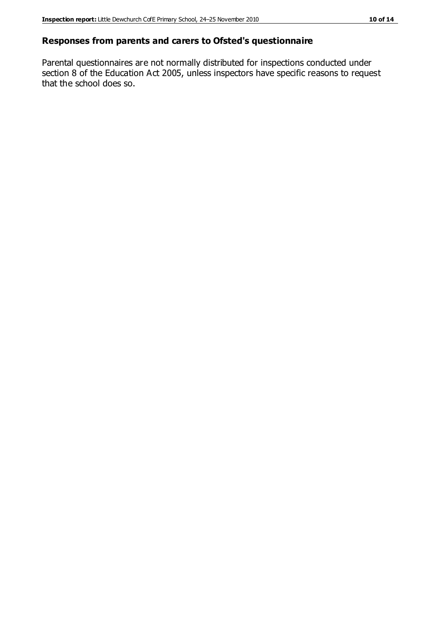#### **Responses from parents and carers to Ofsted's questionnaire**

Parental questionnaires are not normally distributed for inspections conducted under section 8 of the Education Act 2005, unless inspectors have specific reasons to request that the school does so.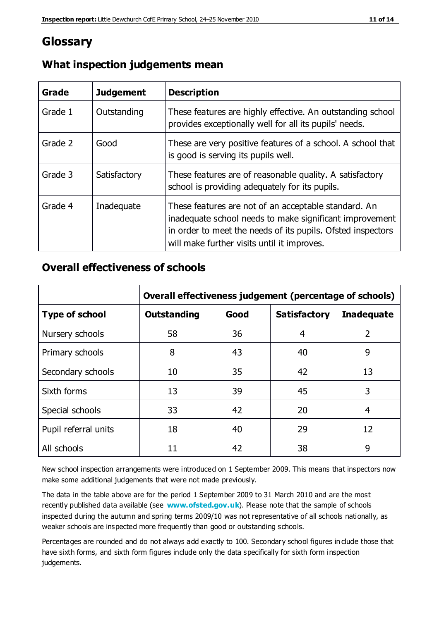## **Glossary**

| Grade   | <b>Judgement</b> | <b>Description</b>                                                                                                                                                                                                            |
|---------|------------------|-------------------------------------------------------------------------------------------------------------------------------------------------------------------------------------------------------------------------------|
| Grade 1 | Outstanding      | These features are highly effective. An outstanding school<br>provides exceptionally well for all its pupils' needs.                                                                                                          |
| Grade 2 | Good             | These are very positive features of a school. A school that<br>is good is serving its pupils well.                                                                                                                            |
| Grade 3 | Satisfactory     | These features are of reasonable quality. A satisfactory<br>school is providing adequately for its pupils.                                                                                                                    |
| Grade 4 | Inadequate       | These features are not of an acceptable standard. An<br>inadequate school needs to make significant improvement<br>in order to meet the needs of its pupils. Ofsted inspectors<br>will make further visits until it improves. |

## **What inspection judgements mean**

## **Overall effectiveness of schools**

|                       | Overall effectiveness judgement (percentage of schools) |      |                     |                   |
|-----------------------|---------------------------------------------------------|------|---------------------|-------------------|
| <b>Type of school</b> | <b>Outstanding</b>                                      | Good | <b>Satisfactory</b> | <b>Inadequate</b> |
| Nursery schools       | 58                                                      | 36   | 4                   | 2                 |
| Primary schools       | 8                                                       | 43   | 40                  | 9                 |
| Secondary schools     | 10                                                      | 35   | 42                  | 13                |
| Sixth forms           | 13                                                      | 39   | 45                  | 3                 |
| Special schools       | 33                                                      | 42   | 20                  | 4                 |
| Pupil referral units  | 18                                                      | 40   | 29                  | 12                |
| All schools           | 11                                                      | 42   | 38                  | 9                 |

New school inspection arrangements were introduced on 1 September 2009. This means that inspectors now make some additional judgements that were not made previously.

The data in the table above are for the period 1 September 2009 to 31 March 2010 and are the most recently published data available (see **[www.ofsted.gov.uk](http://www.ofsted.gov.uk/)**). Please note that the sample of schools inspected during the autumn and spring terms 2009/10 was not representative of all schools nationally, as weaker schools are inspected more frequently than good or outstanding schools.

Percentages are rounded and do not always add exactly to 100. Secondary school figures in clude those that have sixth forms, and sixth form figures include only the data specifically for sixth form inspection judgements.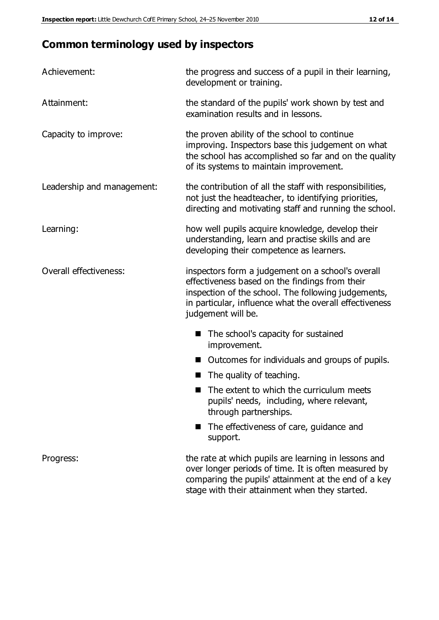## **Common terminology used by inspectors**

| Achievement:               | the progress and success of a pupil in their learning,<br>development or training.                                                                                                                                                          |  |
|----------------------------|---------------------------------------------------------------------------------------------------------------------------------------------------------------------------------------------------------------------------------------------|--|
| Attainment:                | the standard of the pupils' work shown by test and<br>examination results and in lessons.                                                                                                                                                   |  |
| Capacity to improve:       | the proven ability of the school to continue<br>improving. Inspectors base this judgement on what<br>the school has accomplished so far and on the quality<br>of its systems to maintain improvement.                                       |  |
| Leadership and management: | the contribution of all the staff with responsibilities,<br>not just the headteacher, to identifying priorities,<br>directing and motivating staff and running the school.                                                                  |  |
| Learning:                  | how well pupils acquire knowledge, develop their<br>understanding, learn and practise skills and are<br>developing their competence as learners.                                                                                            |  |
| Overall effectiveness:     | inspectors form a judgement on a school's overall<br>effectiveness based on the findings from their<br>inspection of the school. The following judgements,<br>in particular, influence what the overall effectiveness<br>judgement will be. |  |
|                            | The school's capacity for sustained<br>improvement.                                                                                                                                                                                         |  |
|                            | Outcomes for individuals and groups of pupils.                                                                                                                                                                                              |  |
|                            | The quality of teaching.                                                                                                                                                                                                                    |  |
|                            | The extent to which the curriculum meets<br>pupils' needs, including, where relevant,<br>through partnerships.                                                                                                                              |  |
|                            | The effectiveness of care, guidance and<br>support.                                                                                                                                                                                         |  |
| Progress:                  | the rate at which pupils are learning in lessons and<br>over longer periods of time. It is often measured by<br>comparing the pupils' attainment at the end of a key                                                                        |  |

stage with their attainment when they started.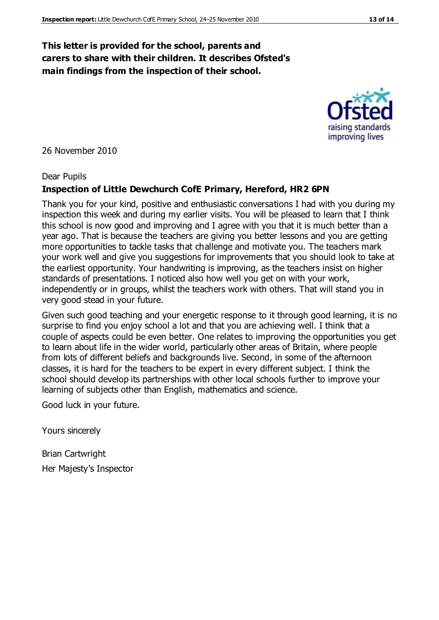#### **This letter is provided for the school, parents and carers to share with their children. It describes Ofsted's main findings from the inspection of their school.**

26 November 2010

#### Dear Pupils

#### **Inspection of Little Dewchurch CofE Primary, Hereford, HR2 6PN**

Thank you for your kind, positive and enthusiastic conversations I had with you during my inspection this week and during my earlier visits. You will be pleased to learn that I think this school is now good and improving and I agree with you that it is much better than a year ago. That is because the teachers are giving you better lessons and you are getting more opportunities to tackle tasks that challenge and motivate you. The teachers mark your work well and give you suggestions for improvements that you should look to take at the earliest opportunity. Your handwriting is improving, as the teachers insist on higher standards of presentations. I noticed also how well you get on with your work, independently or in groups, whilst the teachers work with others. That will stand you in very good stead in your future.

Given such good teaching and your energetic response to it through good learning, it is no surprise to find you enjoy school a lot and that you are achieving well. I think that a couple of aspects could be even better. One relates to improving the opportunities you get to learn about life in the wider world, particularly other areas of Britain, where people from lots of different beliefs and backgrounds live. Second, in some of the afternoon classes, it is hard for the teachers to be expert in every different subject. I think the school should develop its partnerships with other local schools further to improve your learning of subjects other than English, mathematics and science.

Good luck in your future.

Yours sincerely

Brian Cartwright Her Majesty's Inspector